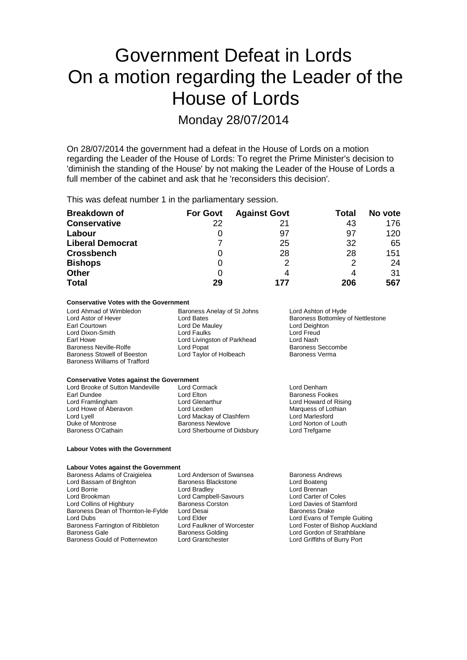# Government Defeat in Lords On a motion regarding the Leader of the House of Lords

Monday 28/07/2014

On 28/07/2014 the government had a defeat in the House of Lords on a motion regarding the Leader of the House of Lords: To regret the Prime Minister's decision to 'diminish the standing of the House' by not making the Leader of the House of Lords a full member of the cabinet and ask that he 'reconsiders this decision'.

This was defeat number 1 in the parliamentary session.

| <b>Breakdown of</b>     | <b>For Govt</b> | <b>Against Govt</b> | Total | No vote |
|-------------------------|-----------------|---------------------|-------|---------|
| <b>Conservative</b>     | 22              | 21                  | 43    | 176     |
| Labour                  | 0               | 97                  | 97    | 120     |
| <b>Liberal Democrat</b> |                 | 25                  | 32    | 65      |
| <b>Crossbench</b>       | 0               | 28                  | 28    | 151     |
| <b>Bishops</b>          | 0               | っ                   | 2     | 24      |
| <b>Other</b>            | 0               |                     |       | 31      |
| <b>Total</b>            | 29              | 177                 | 206   | 567     |

### **Conservative Votes with the Government**

Baroness Stowell of Beeston Baroness Williams of Trafford

Lord Ahmad of Wimbledon Baroness Anelay of St Johns Lord Ashton of Hyde Lord De Mauley **Lord Deighton Lord Deighton Lord Freud**<br>
Lord Faulks **Lord Lord Lord Lord Lord Court** Lord Dixon-Smith Lord Faulks Lord Freud Lord Livingston of Parkhead Lord Nash<br>
Lord Popat Cord Research Baroness Neville-Rolfe **Lord Popat** Lord Popat Consumers Seccor<br>
Baroness Stowell of Beeston Lord Taylor of Holbeach **Baroness Verma** 

Lord Astor of Hever **Lord Bates** Lord Bates **Baroness Bottomley of Nettlestone**<br>
Earl Courtown **Baroness Bottomley Constructs** Lord De Mauley **Baroness Bottomley of Nettlestone** 

#### **Conservative Votes against the Government** Lord Brooke of Sutton Mandeville Lord Cormack and Lord Denham<br>
Lord Lord Lord Lord Elton<br>
Lord Elton Corporation Denham Earl Dundee **Carl Corness Fookes**<br>
Lord Framlingham **Cornes Exercise Cornes Exercise Cornes Exercise Cornes Exercise Cornes Lord Howard of R** Lord Glenarthur **Lord Howard of Rising**<br>
Lord Lexden **Lord Lord Lord Lord Lord Lexden** Lord Howe of Aberavon Lord Lexden Lord Cashfern Marquess of Lothian Lord Marchaven Lord Marchaven Lord Marchaven<br>Lord Marchaven Lord Marchaven Clashfern Lord Marlesford Lord Lyell<br>
Duke of Montrose **Lord Mackay of Clashfern**<br>
Baroness Newlove Lord Norton of Louth Baroness O'Cathain Lord Sherbourne of Didsbury Lord Trefgarne

#### **Labour Votes with the Government**

### **Labour Votes against the Government**

Lord Bassam of Brighton **Baroness Blackstone** Lord Boateng<br>Lord Boateng Lord Boateng Lord Brennan Lord Borrie Lord Bradley Lord Brennan Lord Brookman Lord Campbell-Savours Lord Carter of Coles Baroness Dean of Thornton-le-Fylde Lord Desai<br>Lord Dubs Baroness Farrington of Ribbleton Lord Faulkner of Worcester Lord Foster of Bishop Auckland<br>Baroness Gale Baroness Golding Lord Gordon of Strathblane Baroness Gould of Potternewton

Baroness Adams of Craigielea Lord Anderson of Swansea Baroness Andrews<br>
Lord Bassam of Brighton Baroness Blackstone Lord Boateng Examples Corston Example 20 Lord Davies of Stamford<br>
Lord Desain Lord Davies Drake

Lord Evans of Temple Guiting Baroness Golding<br>
Lord Grantchester<br>
Lord Griffiths of Burry Port